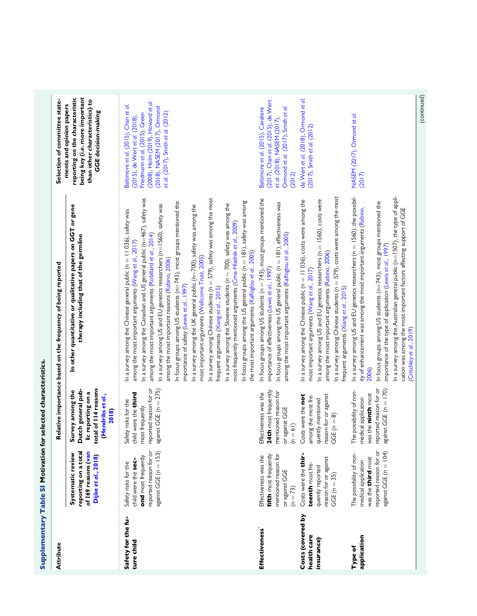|                                                | Supplementary Table SI Motivation for selected characteristics.                                                         |                                                                                                                         |                                                                                                                                                                                                                                                                                                                                                                                                                                                                                                                                                                                                                                                                                                                                                                                                                                                                                                                                                                                                                                                                                              |                                                                                                                                                                                                                     |
|------------------------------------------------|-------------------------------------------------------------------------------------------------------------------------|-------------------------------------------------------------------------------------------------------------------------|----------------------------------------------------------------------------------------------------------------------------------------------------------------------------------------------------------------------------------------------------------------------------------------------------------------------------------------------------------------------------------------------------------------------------------------------------------------------------------------------------------------------------------------------------------------------------------------------------------------------------------------------------------------------------------------------------------------------------------------------------------------------------------------------------------------------------------------------------------------------------------------------------------------------------------------------------------------------------------------------------------------------------------------------------------------------------------------------|---------------------------------------------------------------------------------------------------------------------------------------------------------------------------------------------------------------------|
| Attribute                                      |                                                                                                                         |                                                                                                                         | Relative importance based on the frequency of being reported                                                                                                                                                                                                                                                                                                                                                                                                                                                                                                                                                                                                                                                                                                                                                                                                                                                                                                                                                                                                                                 | Selection of committee state-                                                                                                                                                                                       |
|                                                | reporting on a total<br>of 169 reasons (van<br>Systematic review<br>Dijke et al., 2018)                                 | total of 114 reasons<br>Dutch general pub-<br>Survey among the<br>lic reporting on a<br>(Hendriks et al.,<br>2018       | In other quantitative or qualitative papers on GGT or gene<br>therapy including that of the germline                                                                                                                                                                                                                                                                                                                                                                                                                                                                                                                                                                                                                                                                                                                                                                                                                                                                                                                                                                                         | reporting on the characteristic<br>being key (i.e. more important<br>than other characteristics) to<br>ments and opinion papers<br><b>GGE</b> decision-making                                                       |
| Safety for the fu-<br>ture child               | reported reason for or<br>against GGE (n = 153)<br>ond most frequently<br>child were the sec-<br>Safety risks for the   | reported reason for or<br>against GGE (n = 275)<br>child were the third<br>Safety risks for the<br>most frequently      | In a survey among the Canadian and US general public ( $n=467$ ), safety was<br>In a survey among Chinese students ( $n = 579$ ), safety was among the most<br>In focus groups among the US general public ( $n = 181$ ), safety was among<br>In focus groups among US students ( $n=743$ ), most groups mentioned the<br>In a survey among the Slovene students (n $\sim$ 700), safety was among the<br>In a survey among US and EU genetics researchers (n=1560), safety was<br>In a survey among the UK general public (n $\sim$ 700), safety was among the<br>In a survey among the Chinese general public ( $n = 11036$ ), safety was<br>most frequently mentioned arguments (Cme-Hladnik et al., 2009)<br>among the most important arguments (Robillard et al., 2014)<br>among the most important arguments (Wang et al., 2017)<br>the most important arguments (Kalfoglou et al., 2005)<br>most important arguments (Wellcome Trust, 2005)<br>among the most important reasons (Rabino, 2006)<br>importance of safety (Lewis et al., 1997)<br>frequent arguments (Xiang et al., 2015) | (2008), Holm (2019), Howard et al.<br>Baltimore et al. (2015), Chan et al.<br>(2018), NASEM (2017), Ormond<br>et al. (2017), Smith et al. (2012)<br>Friedmann et al. (2015), Green<br>(2015), de Wert et al. (2018) |
| Effectiveness*                                 | mentioned reason for<br>fifth most frequently<br>Effectiveness was the<br>or against GGE<br>$(n = 73)$                  | 24th most frequently<br>mentioned reason for<br>Effectiveness was the<br>or against GGE<br>$= 61$<br>$\epsilon$         | In focus groups among US students ( $n = 743$ ), most groups mentioned the<br>In focus groups among the US general public (n = 181), effectiveness was<br>among the most important arguments (Kalfoglou et al., 2005)<br>importance of effectiveness (Lewis et al., 1997)                                                                                                                                                                                                                                                                                                                                                                                                                                                                                                                                                                                                                                                                                                                                                                                                                    | (2017), Chan et al. (2015), de Wert<br>Ormond et al. (2017), Smith et al.<br>Baltimore et al. (2015), Cavaliere<br>et al. (2018), NASEM (2017),<br>(2012)                                                           |
| Costs (covered by<br>health care<br>insurance) | Costs were the thir-<br>reason for or against<br>teenth most fre-<br>quently reported<br>$GGE (n = 35)$                 | reason for or against<br>GGE (n $= 8$ )<br>Costs were the <b>not</b><br>among the most fre-<br>quently mentioned        | In a survey among Chinese students ( $n = 579$ ), costs were among the most<br>In a survey among US and EU genetics researchers ( $n = 1560$ ), costs were<br>In a survey among the Chinese public ( $n = 11036$ ), costs were among the<br>among the most important arguments (Rabino, 2006)<br>most important arguments (Wang et al., 2017)<br>frequent arguments (Xiang et al., 2015)                                                                                                                                                                                                                                                                                                                                                                                                                                                                                                                                                                                                                                                                                                     | de Wert et al. (2018), Ormond et al.<br>(2017), Smith et al. (2012)                                                                                                                                                 |
| application<br>Type of                         | reported reason for or<br>against GGE (n = 104)<br>The possibility of non-<br>was the third most<br>medical application | reported reason for or<br>against GGE (n = 170)<br>The possibility of non-<br>was the ninth most<br>medical application | In a survey among the Australian general public (n=1507), the type of appli-<br>In a survey among US and EU genetics researchers ( $n = 1560$ ), the possibil-<br>In focus groups among US students ( $n=743$ ), most groups mentioned the<br>cation was among the most important factors affecting support of GGE<br>ity of enhancement was among the most important arguments (Rabino,<br>importance of the type of application (Lewis et al., 1997)<br>(Critchley et al., 2019)<br>2006)                                                                                                                                                                                                                                                                                                                                                                                                                                                                                                                                                                                                  | NASEM (2017), Ormond et al.<br>(2017)                                                                                                                                                                               |
|                                                |                                                                                                                         |                                                                                                                         |                                                                                                                                                                                                                                                                                                                                                                                                                                                                                                                                                                                                                                                                                                                                                                                                                                                                                                                                                                                                                                                                                              | (continued)                                                                                                                                                                                                         |